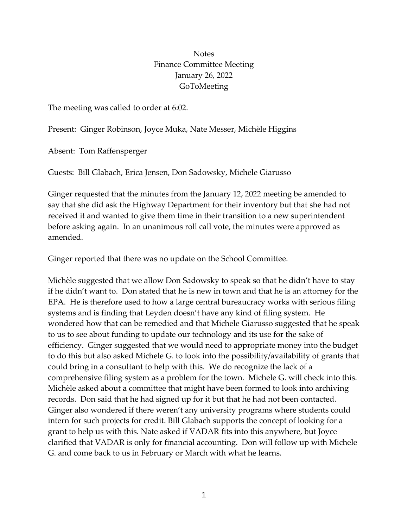# **Notes** Finance Committee Meeting January 26, 2022 GoToMeeting

The meeting was called to order at 6:02.

Present: Ginger Robinson, Joyce Muka, Nate Messer, Michèle Higgins

Absent: Tom Raffensperger

Guests: Bill Glabach, Erica Jensen, Don Sadowsky, Michele Giarusso

Ginger requested that the minutes from the January 12, 2022 meeting be amended to say that she did ask the Highway Department for their inventory but that she had not received it and wanted to give them time in their transition to a new superintendent before asking again. In an unanimous roll call vote, the minutes were approved as amended.

Ginger reported that there was no update on the School Committee.

Michèle suggested that we allow Don Sadowsky to speak so that he didn't have to stay if he didn't want to. Don stated that he is new in town and that he is an attorney for the EPA. He is therefore used to how a large central bureaucracy works with serious filing systems and is finding that Leyden doesn't have any kind of filing system. He wondered how that can be remedied and that Michele Giarusso suggested that he speak to us to see about funding to update our technology and its use for the sake of efficiency. Ginger suggested that we would need to appropriate money into the budget to do this but also asked Michele G. to look into the possibility/availability of grants that could bring in a consultant to help with this. We do recognize the lack of a comprehensive filing system as a problem for the town. Michele G. will check into this. Michèle asked about a committee that might have been formed to look into archiving records. Don said that he had signed up for it but that he had not been contacted. Ginger also wondered if there weren't any university programs where students could intern for such projects for credit. Bill Glabach supports the concept of looking for a grant to help us with this. Nate asked if VADAR fits into this anywhere, but Joyce clarified that VADAR is only for financial accounting. Don will follow up with Michele G. and come back to us in February or March with what he learns.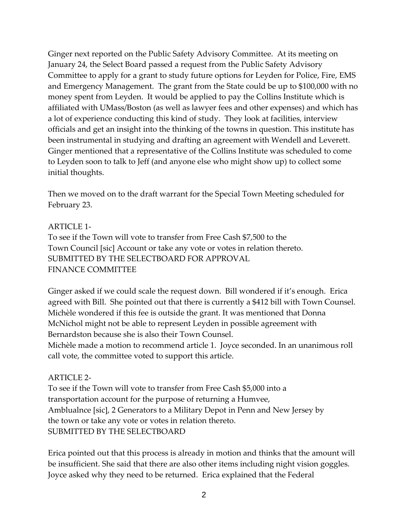Ginger next reported on the Public Safety Advisory Committee. At its meeting on January 24, the Select Board passed a request from the Public Safety Advisory Committee to apply for a grant to study future options for Leyden for Police, Fire, EMS and Emergency Management. The grant from the State could be up to \$100,000 with no money spent from Leyden. It would be applied to pay the Collins Institute which is affiliated with UMass/Boston (as well as lawyer fees and other expenses) and which has a lot of experience conducting this kind of study. They look at facilities, interview officials and get an insight into the thinking of the towns in question. This institute has been instrumental in studying and drafting an agreement with Wendell and Leverett. Ginger mentioned that a representative of the Collins Institute was scheduled to come to Leyden soon to talk to Jeff (and anyone else who might show up) to collect some initial thoughts.

Then we moved on to the draft warrant for the Special Town Meeting scheduled for February 23.

### ARTICLE 1-

To see if the Town will vote to transfer from Free Cash \$7,500 to the Town Council [sic] Account or take any vote or votes in relation thereto. SUBMITTED BY THE SELECTBOARD FOR APPROVAL FINANCE COMMITTEE

Ginger asked if we could scale the request down. Bill wondered if it's enough. Erica agreed with Bill. She pointed out that there is currently a \$412 bill with Town Counsel. Michèle wondered if this fee is outside the grant. It was mentioned that Donna McNichol might not be able to represent Leyden in possible agreement with Bernardston because she is also their Town Counsel.

Michèle made a motion to recommend article 1. Joyce seconded. In an unanimous roll call vote, the committee voted to support this article.

## ARTICLE 2-

To see if the Town will vote to transfer from Free Cash \$5,000 into a transportation account for the purpose of returning a Humvee, Amblualnce [sic], 2 Generators to a Military Depot in Penn and New Jersey by the town or take any vote or votes in relation thereto. SUBMITTED BY THE SELECTBOARD

Erica pointed out that this process is already in motion and thinks that the amount will be insufficient. She said that there are also other items including night vision goggles. Joyce asked why they need to be returned. Erica explained that the Federal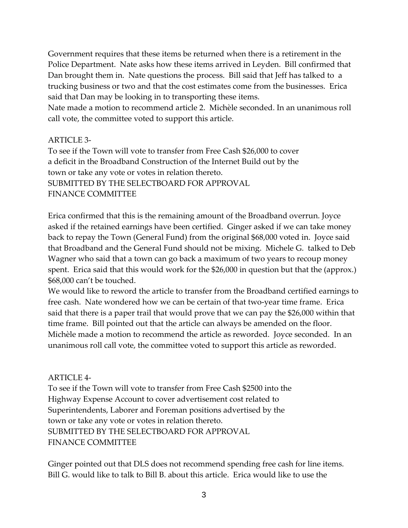Government requires that these items be returned when there is a retirement in the Police Department. Nate asks how these items arrived in Leyden. Bill confirmed that Dan brought them in. Nate questions the process. Bill said that Jeff has talked to a trucking business or two and that the cost estimates come from the businesses. Erica said that Dan may be looking in to transporting these items.

Nate made a motion to recommend article 2. Michèle seconded. In an unanimous roll call vote, the committee voted to support this article.

# ARTICLE 3-

To see if the Town will vote to transfer from Free Cash \$26,000 to cover a deficit in the Broadband Construction of the Internet Build out by the town or take any vote or votes in relation thereto. SUBMITTED BY THE SELECTBOARD FOR APPROVAL FINANCE COMMITTEE

Erica confirmed that this is the remaining amount of the Broadband overrun. Joyce asked if the retained earnings have been certified. Ginger asked if we can take money back to repay the Town (General Fund) from the original \$68,000 voted in. Joyce said that Broadband and the General Fund should not be mixing. Michele G. talked to Deb Wagner who said that a town can go back a maximum of two years to recoup money spent. Erica said that this would work for the \$26,000 in question but that the (approx.) \$68,000 can't be touched.

We would like to reword the article to transfer from the Broadband certified earnings to free cash. Nate wondered how we can be certain of that two-year time frame. Erica said that there is a paper trail that would prove that we can pay the \$26,000 within that time frame. Bill pointed out that the article can always be amended on the floor. Michèle made a motion to recommend the article as reworded. Joyce seconded. In an unanimous roll call vote, the committee voted to support this article as reworded.

## ARTICLE 4-

To see if the Town will vote to transfer from Free Cash \$2500 into the Highway Expense Account to cover advertisement cost related to Superintendents, Laborer and Foreman positions advertised by the town or take any vote or votes in relation thereto. SUBMITTED BY THE SELECTBOARD FOR APPROVAL FINANCE COMMITTEE

Ginger pointed out that DLS does not recommend spending free cash for line items. Bill G. would like to talk to Bill B. about this article. Erica would like to use the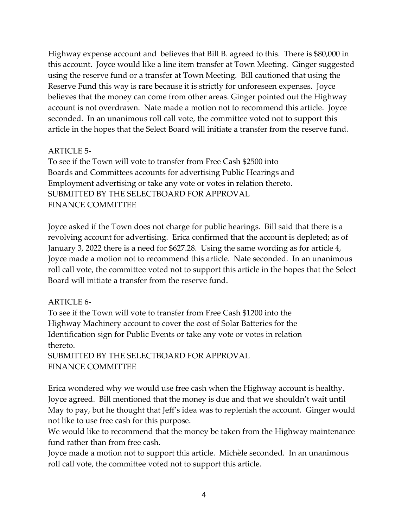Highway expense account and believes that Bill B. agreed to this. There is \$80,000 in this account. Joyce would like a line item transfer at Town Meeting. Ginger suggested using the reserve fund or a transfer at Town Meeting. Bill cautioned that using the Reserve Fund this way is rare because it is strictly for unforeseen expenses. Joyce believes that the money can come from other areas. Ginger pointed out the Highway account is not overdrawn. Nate made a motion not to recommend this article. Joyce seconded. In an unanimous roll call vote, the committee voted not to support this article in the hopes that the Select Board will initiate a transfer from the reserve fund.

## ARTICLE 5-

To see if the Town will vote to transfer from Free Cash \$2500 into Boards and Committees accounts for advertising Public Hearings and Employment advertising or take any vote or votes in relation thereto. SUBMITTED BY THE SELECTBOARD FOR APPROVAL FINANCE COMMITTEE

Joyce asked if the Town does not charge for public hearings. Bill said that there is a revolving account for advertising. Erica confirmed that the account is depleted; as of January 3, 2022 there is a need for \$627.28. Using the same wording as for article 4, Joyce made a motion not to recommend this article. Nate seconded. In an unanimous roll call vote, the committee voted not to support this article in the hopes that the Select Board will initiate a transfer from the reserve fund.

#### ARTICLE 6-

To see if the Town will vote to transfer from Free Cash \$1200 into the Highway Machinery account to cover the cost of Solar Batteries for the Identification sign for Public Events or take any vote or votes in relation thereto.

SUBMITTED BY THE SELECTBOARD FOR APPROVAL FINANCE COMMITTEE

Erica wondered why we would use free cash when the Highway account is healthy. Joyce agreed. Bill mentioned that the money is due and that we shouldn't wait until May to pay, but he thought that Jeff's idea was to replenish the account. Ginger would not like to use free cash for this purpose.

We would like to recommend that the money be taken from the Highway maintenance fund rather than from free cash.

Joyce made a motion not to support this article. Michèle seconded. In an unanimous roll call vote, the committee voted not to support this article.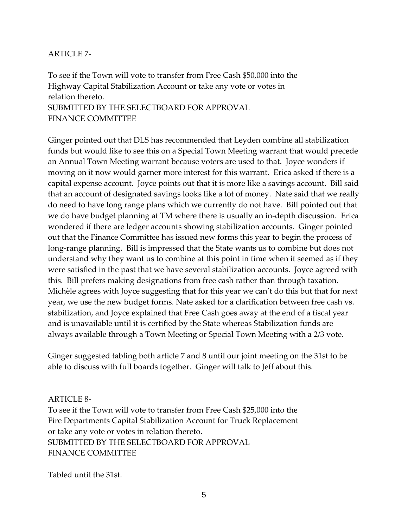### ARTICLE 7-

To see if the Town will vote to transfer from Free Cash \$50,000 into the Highway Capital Stabilization Account or take any vote or votes in relation thereto. SUBMITTED BY THE SELECTBOARD FOR APPROVAL FINANCE COMMITTEE

Ginger pointed out that DLS has recommended that Leyden combine all stabilization funds but would like to see this on a Special Town Meeting warrant that would precede an Annual Town Meeting warrant because voters are used to that. Joyce wonders if moving on it now would garner more interest for this warrant. Erica asked if there is a capital expense account. Joyce points out that it is more like a savings account. Bill said that an account of designated savings looks like a lot of money. Nate said that we really do need to have long range plans which we currently do not have. Bill pointed out that we do have budget planning at TM where there is usually an in-depth discussion. Erica wondered if there are ledger accounts showing stabilization accounts. Ginger pointed out that the Finance Committee has issued new forms this year to begin the process of long-range planning. Bill is impressed that the State wants us to combine but does not understand why they want us to combine at this point in time when it seemed as if they were satisfied in the past that we have several stabilization accounts. Joyce agreed with this. Bill prefers making designations from free cash rather than through taxation. Michèle agrees with Joyce suggesting that for this year we can't do this but that for next year, we use the new budget forms. Nate asked for a clarification between free cash vs. stabilization, and Joyce explained that Free Cash goes away at the end of a fiscal year and is unavailable until it is certified by the State whereas Stabilization funds are always available through a Town Meeting or Special Town Meeting with a 2/3 vote.

Ginger suggested tabling both article 7 and 8 until our joint meeting on the 31st to be able to discuss with full boards together. Ginger will talk to Jeff about this.

#### ARTICLE 8-

To see if the Town will vote to transfer from Free Cash \$25,000 into the Fire Departments Capital Stabilization Account for Truck Replacement or take any vote or votes in relation thereto. SUBMITTED BY THE SELECTBOARD FOR APPROVAL FINANCE COMMITTEE

Tabled until the 31st.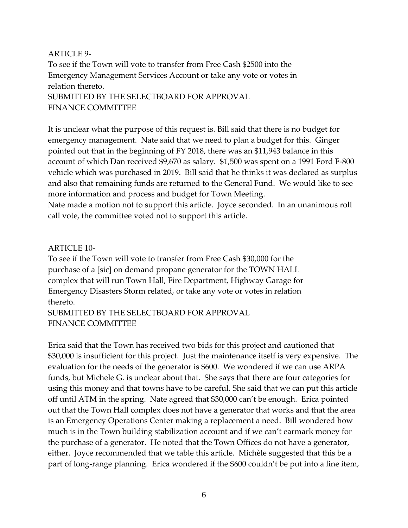### ARTICLE 9-

To see if the Town will vote to transfer from Free Cash \$2500 into the Emergency Management Services Account or take any vote or votes in relation thereto. SUBMITTED BY THE SELECTBOARD FOR APPROVAL FINANCE COMMITTEE

It is unclear what the purpose of this request is. Bill said that there is no budget for emergency management. Nate said that we need to plan a budget for this. Ginger pointed out that in the beginning of FY 2018, there was an \$11,943 balance in this account of which Dan received \$9,670 as salary. \$1,500 was spent on a 1991 Ford F-800 vehicle which was purchased in 2019. Bill said that he thinks it was declared as surplus and also that remaining funds are returned to the General Fund. We would like to see more information and process and budget for Town Meeting.

Nate made a motion not to support this article. Joyce seconded. In an unanimous roll call vote, the committee voted not to support this article.

## ARTICLE 10-

To see if the Town will vote to transfer from Free Cash \$30,000 for the purchase of a [sic] on demand propane generator for the TOWN HALL complex that will run Town Hall, Fire Department, Highway Garage for Emergency Disasters Storm related, or take any vote or votes in relation thereto.

SUBMITTED BY THE SELECTBOARD FOR APPROVAL FINANCE COMMITTEE

Erica said that the Town has received two bids for this project and cautioned that \$30,000 is insufficient for this project. Just the maintenance itself is very expensive. The evaluation for the needs of the generator is \$600. We wondered if we can use ARPA funds, but Michele G. is unclear about that. She says that there are four categories for using this money and that towns have to be careful. She said that we can put this article off until ATM in the spring. Nate agreed that \$30,000 can't be enough. Erica pointed out that the Town Hall complex does not have a generator that works and that the area is an Emergency Operations Center making a replacement a need. Bill wondered how much is in the Town building stabilization account and if we can't earmark money for the purchase of a generator. He noted that the Town Offices do not have a generator, either. Joyce recommended that we table this article. Michèle suggested that this be a part of long-range planning. Erica wondered if the \$600 couldn't be put into a line item,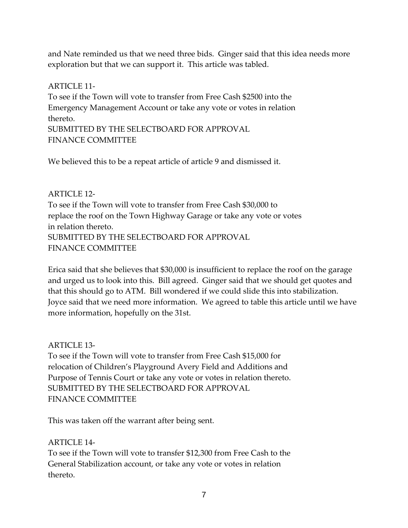and Nate reminded us that we need three bids. Ginger said that this idea needs more exploration but that we can support it. This article was tabled.

### ARTICLE 11-

To see if the Town will vote to transfer from Free Cash \$2500 into the Emergency Management Account or take any vote or votes in relation thereto. SUBMITTED BY THE SELECTBOARD FOR APPROVAL

FINANCE COMMITTEE

We believed this to be a repeat article of article 9 and dismissed it.

## ARTICLE 12-

To see if the Town will vote to transfer from Free Cash \$30,000 to replace the roof on the Town Highway Garage or take any vote or votes in relation thereto. SUBMITTED BY THE SELECTBOARD FOR APPROVAL FINANCE COMMITTEE

Erica said that she believes that \$30,000 is insufficient to replace the roof on the garage and urged us to look into this. Bill agreed. Ginger said that we should get quotes and that this should go to ATM. Bill wondered if we could slide this into stabilization. Joyce said that we need more information. We agreed to table this article until we have more information, hopefully on the 31st.

## ARTICLE 13-

To see if the Town will vote to transfer from Free Cash \$15,000 for relocation of Children's Playground Avery Field and Additions and Purpose of Tennis Court or take any vote or votes in relation thereto. SUBMITTED BY THE SELECTBOARD FOR APPROVAL FINANCE COMMITTEE

This was taken off the warrant after being sent.

## ARTICLE 14-

To see if the Town will vote to transfer \$12,300 from Free Cash to the General Stabilization account, or take any vote or votes in relation thereto.